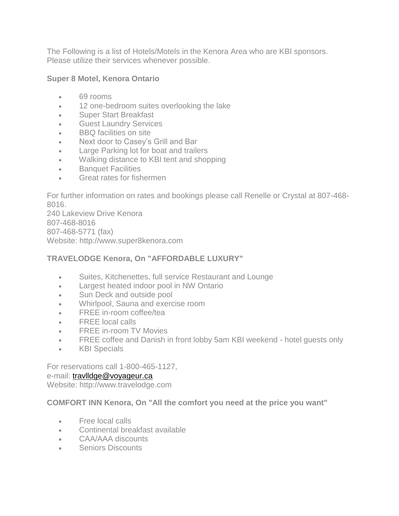The Following is a list of Hotels/Motels in the Kenora Area who are KBI sponsors. Please utilize their services whenever possible.

## **Super 8 Motel, Kenora Ontario**

- 69 rooms
- 12 one-bedroom suites overlooking the lake
- Super Start Breakfast
- Guest Laundry Services
- BBQ facilities on site
- Next door to Casey's Grill and Bar
- Large Parking lot for boat and trailers
- Walking distance to KBI tent and shopping
- Banquet Facilities
- Great rates for fishermen

For further information on rates and bookings please call Renelle or Crystal at 807-468- 8016.

240 Lakeview Drive Kenora 807-468-8016 807-468-5771 (fax) Website: http://www.super8kenora.com

## **TRAVELODGE Kenora, On "AFFORDABLE LUXURY"**

- Suites, Kitchenettes, full service Restaurant and Lounge
- Largest heated indoor pool in NW Ontario
- Sun Deck and outside pool
- Whirlpool, Sauna and exercise room
- FREE in-room coffee/tea
- FREE local calls
- FREE in-room TV Movies
- FREE coffee and Danish in front lobby 5am KBI weekend hotel guests only
- KBI Specials

For reservations call 1-800-465-1127,

## e-mail: [travlldge@voyageur.ca](mailto:travlldge@voyageur.ca)

Website: http://www.travelodge.com

## **COMFORT INN Kenora, On "All the comfort you need at the price you want"**

- Free local calls
- Continental breakfast available
- CAA/AAA discounts
- **Seniors Discounts**